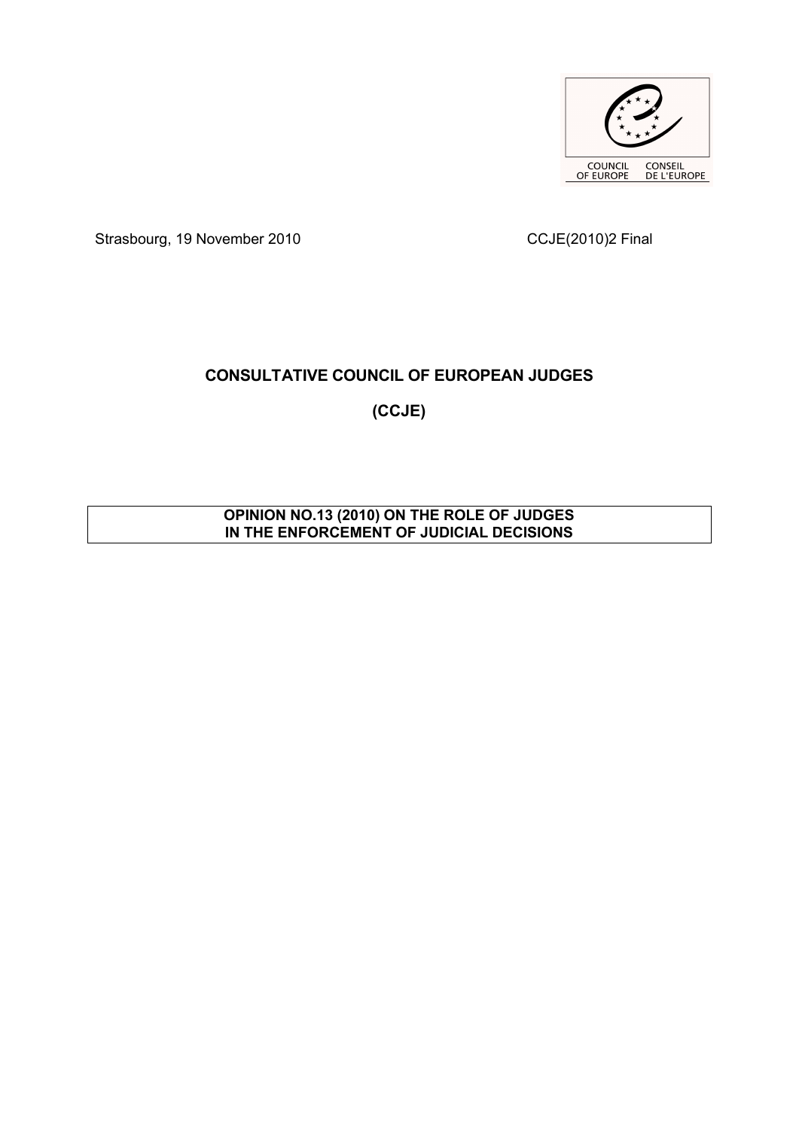

Strasbourg, 19 November 2010 CCJE(2010)2 Final

# **CONSULTATIVE COUNCIL OF EUROPEAN JUDGES**

**(CCJE)**

## **OPINION NO.13 (2010) ON THE ROLE OF JUDGES IN THE ENFORCEMENT OF JUDICIAL DECISIONS**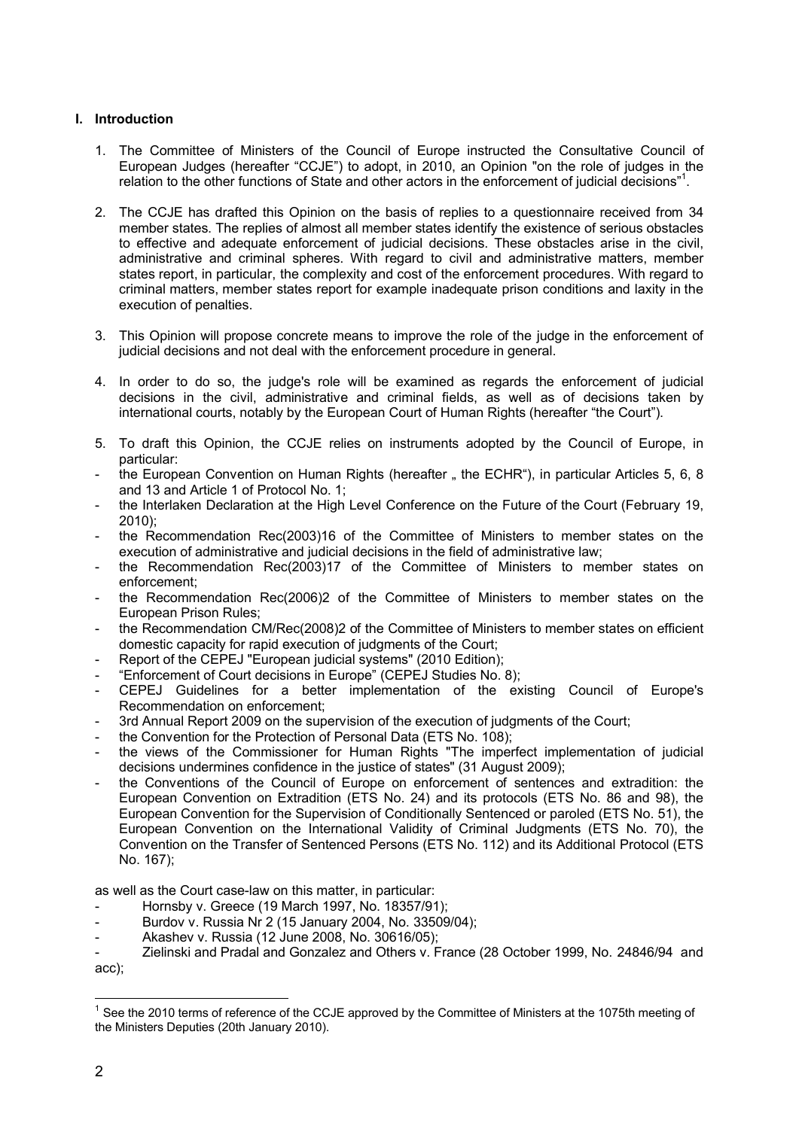## **I. Introduction**

- 1. The Committee of Ministers of the Council of Europe instructed the Consultative Council of European Judges (hereafter "CCJE") to adopt, in 2010, an Opinion "on the role of judges in the relation to the other functions of State and other actors in the enforcement of judicial decisions"<sup>[1](#page-1-0)</sup>.
- 2. The CCJE has drafted this Opinion on the basis of replies to a questionnaire received from 34 member states. The replies of almost all member states identify the existence of serious obstacles to effective and adequate enforcement of judicial decisions. These obstacles arise in the civil, administrative and criminal spheres. With regard to civil and administrative matters, member states report, in particular, the complexity and cost of the enforcement procedures. With regard to criminal matters, member states report for example inadequate prison conditions and laxity in the execution of penalties.
- 3. This Opinion will propose concrete means to improve the role of the judge in the enforcement of judicial decisions and not deal with the enforcement procedure in general.
- 4. In order to do so, the judge's role will be examined as regards the enforcement of judicial decisions in the civil, administrative and criminal fields, as well as of decisions taken by international courts, notably by the European Court of Human Rights (hereafter "the Court").
- 5. To draft this Opinion, the CCJE relies on instruments adopted by the Council of Europe, in particular:
- the European Convention on Human Rights (hereafter " the ECHR"), in particular Articles 5, 6, 8 and 13 and Article 1 of Protocol No. 1;
- the Interlaken Declaration at the High Level Conference on the Future of the Court (February 19, 2010);
- the Recommendation Rec(2003)16 of the Committee of Ministers to member states on the execution of administrative and judicial decisions in the field of administrative law;
- the Recommendation Rec(2003)17 of the Committee of Ministers to member states on enforcement;
- the Recommendation Rec(2006)2 of the Committee of Ministers to member states on the European Prison Rules;
- the Recommendation CM/Rec(2008)2 of the Committee of Ministers to member states on efficient domestic capacity for rapid execution of judgments of the Court;
- Report of the CEPEJ "European judicial systems" (2010 Edition);
- ["Enforcement of Court decisions in Europe"](http://www.coe.int/t/dghl/cooperation/cepej/series/Etudes8Execution_en.pdf) (CEPEJ Studies No. 8);
- CEPEJ Guidelines for a better implementation of the existing Council of Europe'[s](https://wcd.coe.int/ViewDoc.jsp?Ref=CEPEJ(2009)11&Language=lanEnglish&Ver=original&BackColorInternet=DBDCF2&BackColorIntranet=FDC864&BackColorLogged=FDC864) [Recommendation on enforcement;](https://wcd.coe.int/ViewDoc.jsp?Ref=CEPEJ(2009)11&Language=lanEnglish&Ver=original&BackColorInternet=DBDCF2&BackColorIntranet=FDC864&BackColorLogged=FDC864)
- 3rd Annual Report 2009 on the supervision of the execution of judgments of the Court;
- the Convention for the Protection of Personal Data (ETS No. 108);
- the views of the Commissioner for Human Rights "The imperfect implementation of judicial decisions undermines confidence in the justice of states" (31 August 2009);
- the Conventions of the Council of Europe on enforcement of sentences and extradition: the European Convention on Extradition (ETS No. 24) and its protocols (ETS No. 86 and 98), the European Convention for the Supervision of Conditionally Sentenced or paroled (ETS No. 51), the European Convention on the International Validity of Criminal Judgments (ETS No. 70), the Convention on the Transfer of Sentenced Persons (ETS No. 112) and its Additional Protocol (ETS No. 167);

as well as the Court case-law on this matter, in particular:

- [Hornsby v. Greece \(19 March 1997, No. 18357/91\);](http://cmiskp.echr.coe.int/tkp197/view.asp?action=html&documentId=695897&portal=hbkm&source=externalbydocnumber&table=F69A27FD8FB86142BF01C1166DEA398649)
- [Burdov v. Russia Nr 2 \(15 January 2004, No. 33509/04\);](http://cmiskp.echr.coe.int/tkp197/view.asp?action=html&documentId=845494&portal=hbkm&source=externalbydocnumber&table=F69A27FD8FB86142BF01C1166DEA398649)
- [Akashev v. Russia \(12 June 2008, No. 30616/05\);](http://cmiskp.echr.coe.int/tkp197/view.asp?action=html&documentId=836675&portal=hbkm&source=externalbydocnumber&table=F69A27FD8FB86142BF01C1166DEA398649)

<sup>-</sup> [Zielinski and Pradal and Gonzalez and Others v. France \(28](http://cmiskp.echr.coe.int/tkp197/view.asp?action=html&documentId=696469&portal=hbkm&source=externalbydocnumber&table=F69A27FD8FB86142BF01C1166DEA398649) October 1999, No. 24846/94 and [acc\);](http://cmiskp.echr.coe.int/tkp197/view.asp?action=html&documentId=696469&portal=hbkm&source=externalbydocnumber&table=F69A27FD8FB86142BF01C1166DEA398649)

<span id="page-1-0"></span> $\overline{a}$  $1$  See the 2010 terms of reference of the CCJE approved by the Committee of Ministers at the 1075th meeting of the Ministers Deputies (20th January 2010).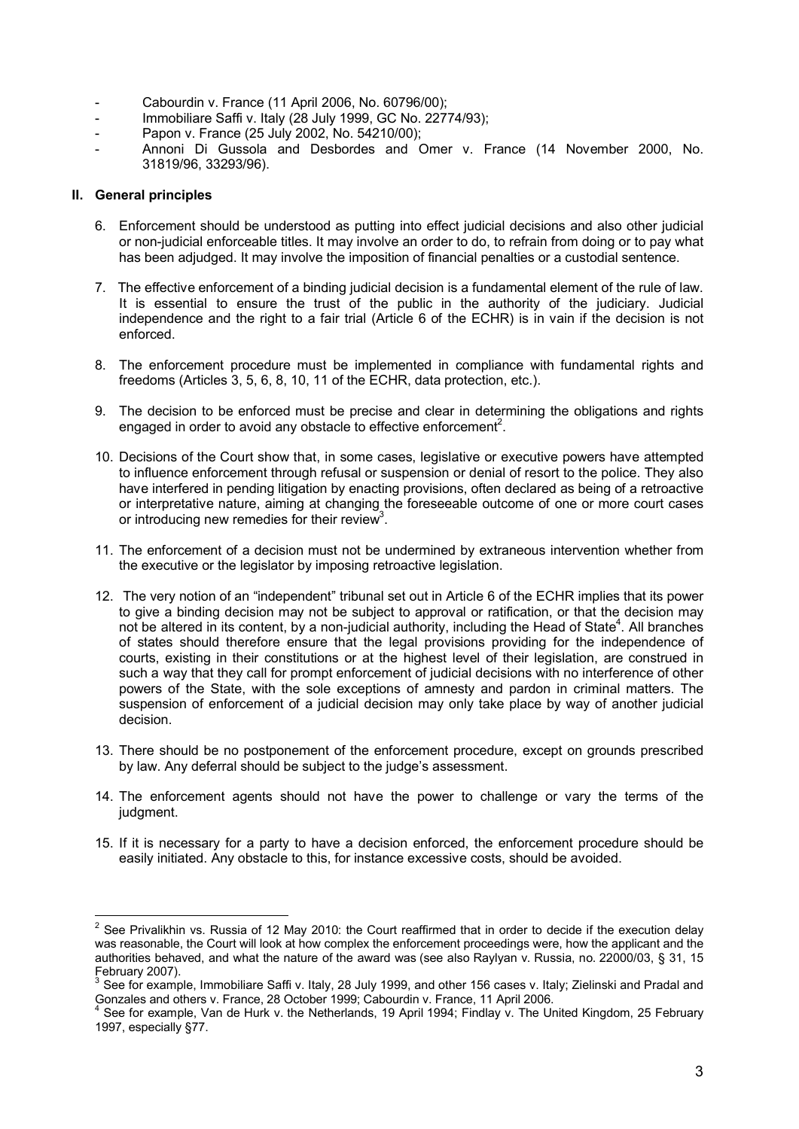- [Cabourdin v. France \(11 April](http://cmiskp.echr.coe.int/tkp197/view.asp?action=html&documentId=794061&portal=hbkm&source=externalbydocnumber&table=F69A27FD8FB86142BF01C1166DEA398649) 2006, No. 60796/00);
- [Immobiliare Saffi v. Italy \(28 July 1999, GC No. 22774/93\);](http://cmiskp.echr.coe.int/tkp197/view.asp?action=html&documentId=696169&portal=hbkm&source=externalbydocnumber&table=F69A27FD8FB86142BF01C1166DEA398649)
- [Papon v. France \(25 July 2002, No. 54210/00\);](http://cmiskp.echr.coe.int/tkp197/view.asp?action=html&documentId=698510&portal=hbkm&source=externalbydocnumber&table=F69A27FD8FB86142BF01C1166DEA398649)
- Annoni Di Gussola and Desbordes [and Omer v. France \(14 November](http://cmiskp.echr.coe.int/tkp197/view.asp?action=html&documentId=696860&portal=hbkm&source=externalbydocnumber&table=F69A27FD8FB86142BF01C1166DEA398649) 2000, No. [31819/96, 33293/96\).](http://cmiskp.echr.coe.int/tkp197/view.asp?action=html&documentId=696860&portal=hbkm&source=externalbydocnumber&table=F69A27FD8FB86142BF01C1166DEA398649)

## **II. General principles**

- 6. Enforcement should be understood as putting into effect judicial decisions and also other judicial or non-judicial enforceable titles. It may involve an order to do, to refrain from doing or to pay what has been adjudged. It may involve the imposition of financial penalties or a custodial sentence.
- 7. The effective enforcement of a binding judicial decision is a fundamental element of the rule of law. It is essential to ensure the trust of the public in the authority of the judiciary. Judicial independence and the right to a fair trial (Article 6 of the ECHR) is in vain if the decision is not enforced.
- 8. The enforcement procedure must be implemented in compliance with fundamental rights and freedoms (Articles 3, 5, 6, 8, 10, 11 of the ECHR, data protection, etc.).
- 9. The decision to be enforced must be precise and clear in determining the obligations and rights engaged in order to avoid any obstacle to effective enforcement<sup>[2](#page-2-0)</sup>.
- 10. Decisions of the Court show that, in some cases, legislative or executive powers have attempted to influence enforcement through refusal or suspension or denial of resort to the police. They also have interfered in pending litigation by enacting provisions, often declared as being of a retroactive or interpretative nature, aiming at changing the foreseeable outcome of one or more court cases or introducing new remedies for their review<sup>[3](#page-2-1)</sup>.
- 11. The enforcement of a decision must not be undermined by extraneous intervention whether from the executive or the legislator by imposing retroactive legislation.
- 12. The very notion of an "independent" tribunal set out in Article 6 of the ECHR implies that its power to give a binding decision may not be subject to approval or ratification, or that the decision may not be altered in its content, by a non-judicial authority, including the Head of State<sup>[4](#page-2-2)</sup>. All branches of states should therefore ensure that the legal provisions providing for the independence of courts, existing in their constitutions or at the highest level of their legislation, are construed in such a way that they call for prompt enforcement of judicial decisions with no interference of other powers of the State, with the sole exceptions of amnesty and pardon in criminal matters. The suspension of enforcement of a judicial decision may only take place by way of another judicial decision.
- 13. There should be no postponement of the enforcement procedure, except on grounds prescribed by law. Any deferral should be subject to the judge's assessment.
- 14. The enforcement agents should not have the power to challenge or vary the terms of the judgment.
- 15. If it is necessary for a party to have a decision enforced, the enforcement procedure should be easily initiated. Any obstacle to this, for instance excessive costs, should be avoided.

<span id="page-2-0"></span> $\overline{a}$  $2$  See Privalikhin vs. Russia of 12 May 2010: the Court reaffirmed that in order to decide if the execution delay was reasonable, the Court will look at how complex the enforcement proceedings were, how the applicant and the authorities behaved, and what the nature of the award was (see also Raylyan v. Russia, no. 22000/03, § 31, 15 February 2007).

<span id="page-2-1"></span>See for example, Immobiliare Saffi v. Italy, 28 July 1999, and other 156 cases v. Italy; Zielinski and Pradal and Gonzales and others v. France, 28 October 1999; Cabourdin v. France, 11 April 2006.

<span id="page-2-2"></span><sup>&</sup>lt;sup>4</sup> See for example, Van de Hurk v. the Netherlands, 19 April 1994; Findlay v. The United Kingdom, 25 February 1997, especially §77.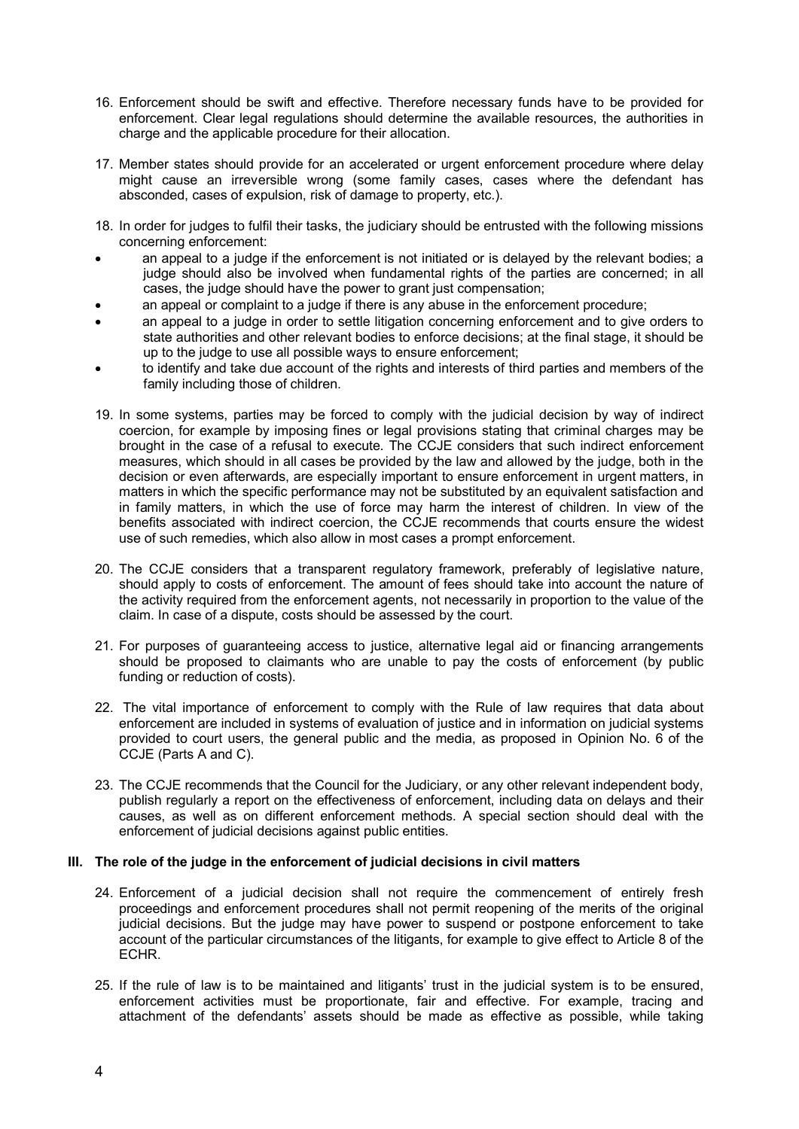- 16. Enforcement should be swift and effective. Therefore necessary funds have to be provided for enforcement. Clear legal regulations should determine the available resources, the authorities in charge and the applicable procedure for their allocation.
- 17. Member states should provide for an accelerated or urgent enforcement procedure where delay might cause an irreversible wrong (some family cases, cases where the defendant has absconded, cases of expulsion, risk of damage to property, etc.).
- 18. In order for judges to fulfil their tasks, the judiciary should be entrusted with the following missions concerning enforcement:
- an appeal to a judge if the enforcement is not initiated or is delayed by the relevant bodies; a judge should also be involved when fundamental rights of the parties are concerned; in all cases, the judge should have the power to grant just compensation;
- an appeal or complaint to a judge if there is any abuse in the enforcement procedure;
- an appeal to a judge in order to settle litigation concerning enforcement and to give orders to state authorities and other relevant bodies to enforce decisions; at the final stage, it should be up to the judge to use all possible ways to ensure enforcement;
- to identify and take due account of the rights and interests of third parties and members of the family including those of children.
- 19. In some systems, parties may be forced to comply with the judicial decision by way of indirect coercion, for example by imposing fines or legal provisions stating that criminal charges may be brought in the case of a refusal to execute. The CCJE considers that such indirect enforcement measures, which should in all cases be provided by the law and allowed by the judge, both in the decision or even afterwards, are especially important to ensure enforcement in urgent matters, in matters in which the specific performance may not be substituted by an equivalent satisfaction and in family matters, in which the use of force may harm the interest of children. In view of the benefits associated with indirect coercion, the CCJE recommends that courts ensure the widest use of such remedies, which also allow in most cases a prompt enforcement.
- 20. The CCJE considers that a transparent regulatory framework, preferably of legislative nature, should apply to costs of enforcement. The amount of fees should take into account the nature of the activity required from the enforcement agents, not necessarily in proportion to the value of the claim. In case of a dispute, costs should be assessed by the court.
- 21. For purposes of guaranteeing access to justice, alternative legal aid or financing arrangements should be proposed to claimants who are unable to pay the costs of enforcement (by public funding or reduction of costs).
- 22. The vital importance of enforcement to comply with the Rule of law requires that data about enforcement are included in systems of evaluation of justice and in information on judicial systems provided to court users, the general public and the media, as proposed in Opinion No. 6 of the CCJE (Parts A and C).
- 23. The CCJE recommends that the Council for the Judiciary, or any other relevant independent body, publish regularly a report on the effectiveness of enforcement, including data on delays and their causes, as well as on different enforcement methods. A special section should deal with the enforcement of judicial decisions against public entities.

#### **III. The role of the judge in the enforcement of judicial decisions in civil matters**

- 24. Enforcement of a judicial decision shall not require the commencement of entirely fresh proceedings and enforcement procedures shall not permit reopening of the merits of the original judicial decisions. But the judge may have power to suspend or postpone enforcement to take account of the particular circumstances of the litigants, for example to give effect to Article 8 of the ECHR.
- 25. If the rule of law is to be maintained and litigants' trust in the judicial system is to be ensured, enforcement activities must be proportionate, fair and effective. For example, tracing and attachment of the defendants' assets should be made as effective as possible, while taking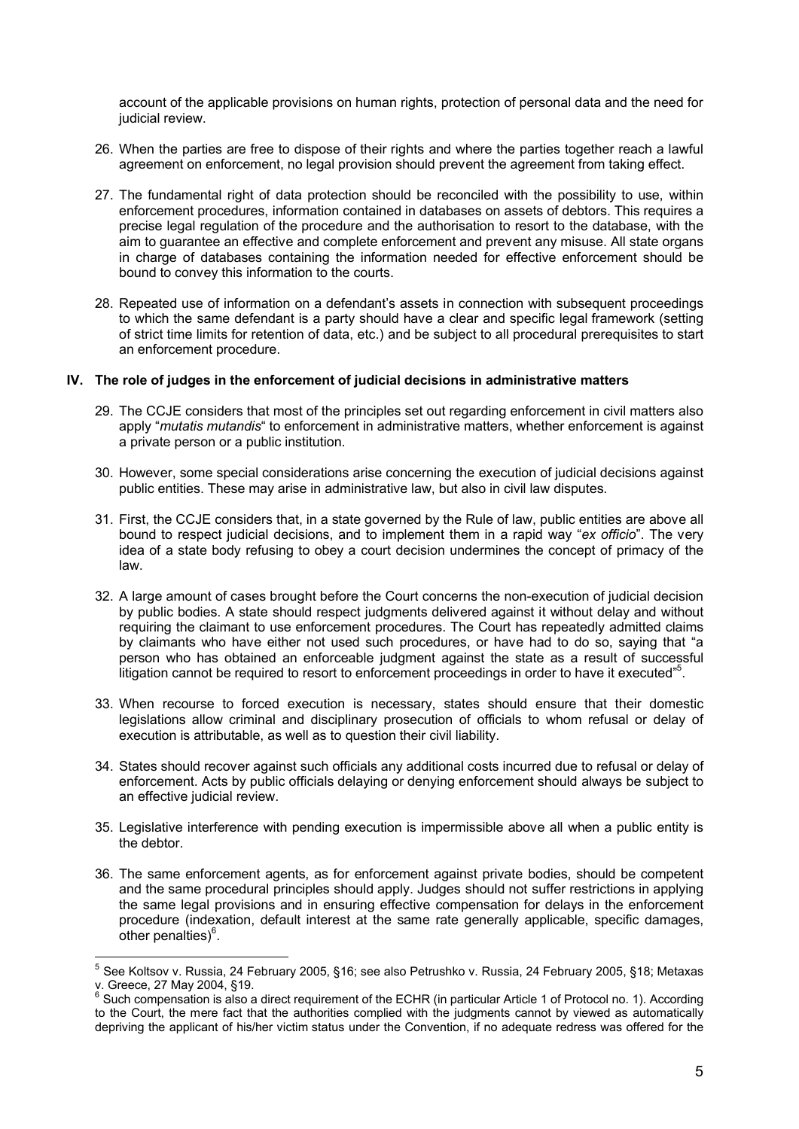account of the applicable provisions on human rights, protection of personal data and the need for judicial review.

- 26. When the parties are free to dispose of their rights and where the parties together reach a lawful agreement on enforcement, no legal provision should prevent the agreement from taking effect.
- 27. The fundamental right of data protection should be reconciled with the possibility to use, within enforcement procedures, information contained in databases on assets of debtors. This requires a precise legal regulation of the procedure and the authorisation to resort to the database, with the aim to guarantee an effective and complete enforcement and prevent any misuse. All state organs in charge of databases containing the information needed for effective enforcement should be bound to convey this information to the courts.
- 28. Repeated use of information on a defendant's assets in connection with subsequent proceedings to which the same defendant is a party should have a clear and specific legal framework (setting of strict time limits for retention of data, etc.) and be subject to all procedural prerequisites to start an enforcement procedure.

#### **IV. The role of judges in the enforcement of judicial decisions in administrative matters**

- 29. The CCJE considers that most of the principles set out regarding enforcement in civil matters also apply "*mutatis mutandis*" to enforcement in administrative matters, whether enforcement is against a private person or a public institution.
- 30. However, some special considerations arise concerning the execution of judicial decisions against public entities. These may arise in administrative law, but also in civil law disputes.
- 31. First, the CCJE considers that, in a state governed by the Rule of law, public entities are above all bound to respect judicial decisions, and to implement them in a rapid way "*ex officio*". The very idea of a state body refusing to obey a court decision undermines the concept of primacy of the law.
- 32. A large amount of cases brought before the Court concerns the non-execution of judicial decision by public bodies. A state should respect judgments delivered against it without delay and without requiring the claimant to use enforcement procedures. The Court has repeatedly admitted claims by claimants who have either not used such procedures, or have had to do so, saying that "a person who has obtained an enforceable judgment against the state as a result of successful itigation cannot be required to resort to enforcement proceedings in order to have it executed"<sup>[5](#page-4-0)</sup>.
- 33. When recourse to forced execution is necessary, states should ensure that their domestic legislations allow criminal and disciplinary prosecution of officials to whom refusal or delay of execution is attributable, as well as to question their civil liability.
- 34. States should recover against such officials any additional costs incurred due to refusal or delay of enforcement. Acts by public officials delaying or denying enforcement should always be subject to an effective judicial review.
- 35. Legislative interference with pending execution is impermissible above all when a public entity is the debtor.
- 36. The same enforcement agents, as for enforcement against private bodies, should be competent and the same procedural principles should apply. Judges should not suffer restrictions in applying the same legal provisions and in ensuring effective compensation for delays in the enforcement procedure (indexation, default interest at the same rate generally applicable, specific damages,  $\overline{\text{other}}$  penalties) $^6$  $^6$ .

 $\overline{a}$ 

<span id="page-4-0"></span><sup>&</sup>lt;sup>5</sup> See Koltsov v. Russia, 24 February 2005, §16; see also Petrushko v. Russia, 24 February 2005, §18; Metaxas v. Greece, 27 May 2004, §19.

<span id="page-4-1"></span><sup>6</sup> Such compensation is also a direct requirement of the ECHR (in particular Article 1 of Protocol no. 1). According to the Court, the mere fact that the authorities complied with the judgments cannot by viewed as automatically depriving the applicant of his/her victim status under the Convention, if no adequate redress was offered for the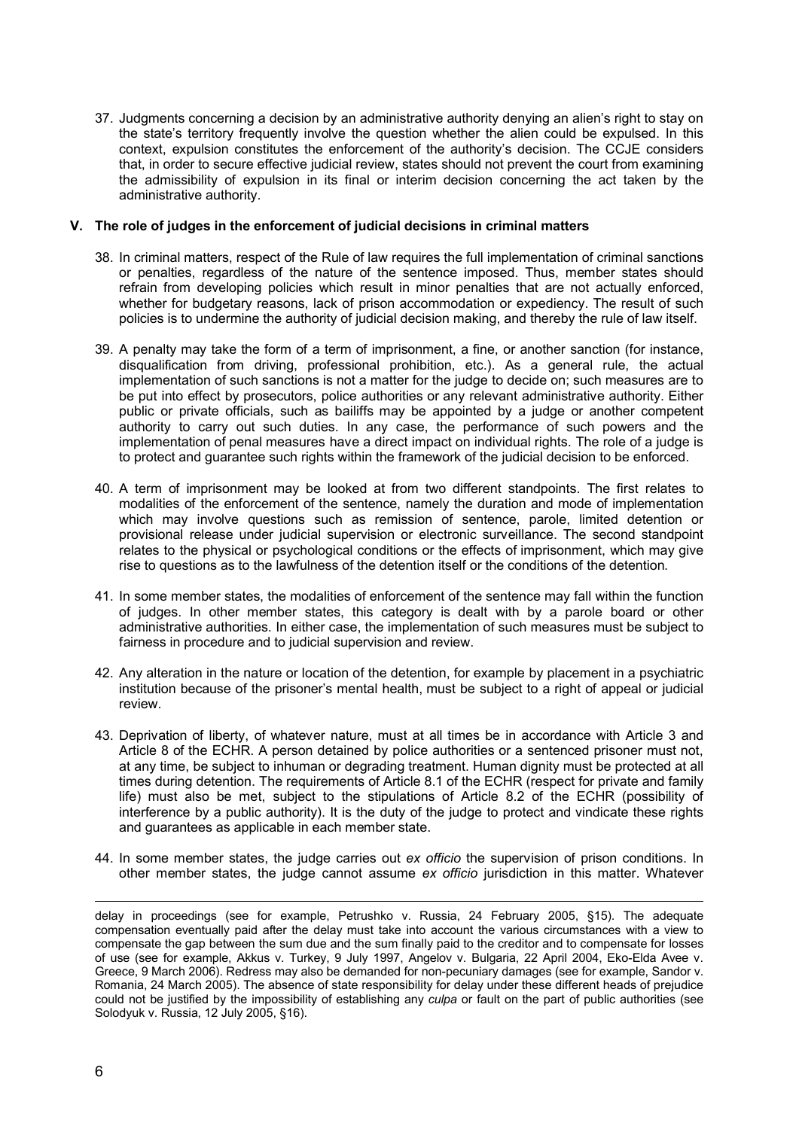37. Judgments concerning a decision by an administrative authority denying an alien's right to stay on the state's territory frequently involve the question whether the alien could be expulsed. In this context, expulsion constitutes the enforcement of the authority's decision. The CCJE considers that, in order to secure effective judicial review, states should not prevent the court from examining the admissibility of expulsion in its final or interim decision concerning the act taken by the administrative authority.

#### **V. The role of judges in the enforcement of judicial decisions in criminal matters**

- 38. In criminal matters, respect of the Rule of law requires the full implementation of criminal sanctions or penalties, regardless of the nature of the sentence imposed. Thus, member states should refrain from developing policies which result in minor penalties that are not actually enforced, whether for budgetary reasons, lack of prison accommodation or expediency. The result of such policies is to undermine the authority of judicial decision making, and thereby the rule of law itself.
- 39. A penalty may take the form of a term of imprisonment, a fine, or another sanction (for instance, disqualification from driving, professional prohibition, etc.). As a general rule, the actual implementation of such sanctions is not a matter for the judge to decide on; such measures are to be put into effect by prosecutors, police authorities or any relevant administrative authority. Either public or private officials, such as bailiffs may be appointed by a judge or another competent authority to carry out such duties. In any case, the performance of such powers and the implementation of penal measures have a direct impact on individual rights. The role of a judge is to protect and guarantee such rights within the framework of the judicial decision to be enforced.
- 40. A term of imprisonment may be looked at from two different standpoints. The first relates to modalities of the enforcement of the sentence, namely the duration and mode of implementation which may involve questions such as remission of sentence, parole, limited detention or provisional release under judicial supervision or electronic surveillance. The second standpoint relates to the physical or psychological conditions or the effects of imprisonment, which may give rise to questions as to the lawfulness of the detention itself or the conditions of the detention.
- 41. In some member states, the modalities of enforcement of the sentence may fall within the function of judges. In other member states, this category is dealt with by a parole board or other administrative authorities. In either case, the implementation of such measures must be subject to fairness in procedure and to judicial supervision and review.
- 42. Any alteration in the nature or location of the detention, for example by placement in a psychiatric institution because of the prisoner's mental health, must be subject to a right of appeal or judicial review.
- 43. Deprivation of liberty, of whatever nature, must at all times be in accordance with Article 3 and Article 8 of the ECHR. A person detained by police authorities or a sentenced prisoner must not, at any time, be subject to inhuman or degrading treatment. Human dignity must be protected at all times during detention. The requirements of Article 8.1 of the ECHR (respect for private and family life) must also be met, subject to the stipulations of Article 8.2 of the ECHR (possibility of interference by a public authority). It is the duty of the judge to protect and vindicate these rights and guarantees as applicable in each member state.
- 44. In some member states, the judge carries out *ex officio* the supervision of prison conditions. In other member states, the judge cannot assume *ex officio* jurisdiction in this matter. Whatever

 $\overline{a}$ 

delay in proceedings (see for example, Petrushko v. Russia, 24 February 2005, §15). The adequate compensation eventually paid after the delay must take into account the various circumstances with a view to compensate the gap between the sum due and the sum finally paid to the creditor and to compensate for losses of use (see for example, Akkus v. Turkey, 9 July 1997, Angelov v. Bulgaria, 22 April 2004, Eko-Elda Avee v. Greece, 9 March 2006). Redress may also be demanded for non-pecuniary damages (see for example, Sandor v. Romania, 24 March 2005). The absence of state responsibility for delay under these different heads of prejudice could not be justified by the impossibility of establishing any *culpa* or fault on the part of public authorities (see Solodyuk v. Russia, 12 July 2005, §16).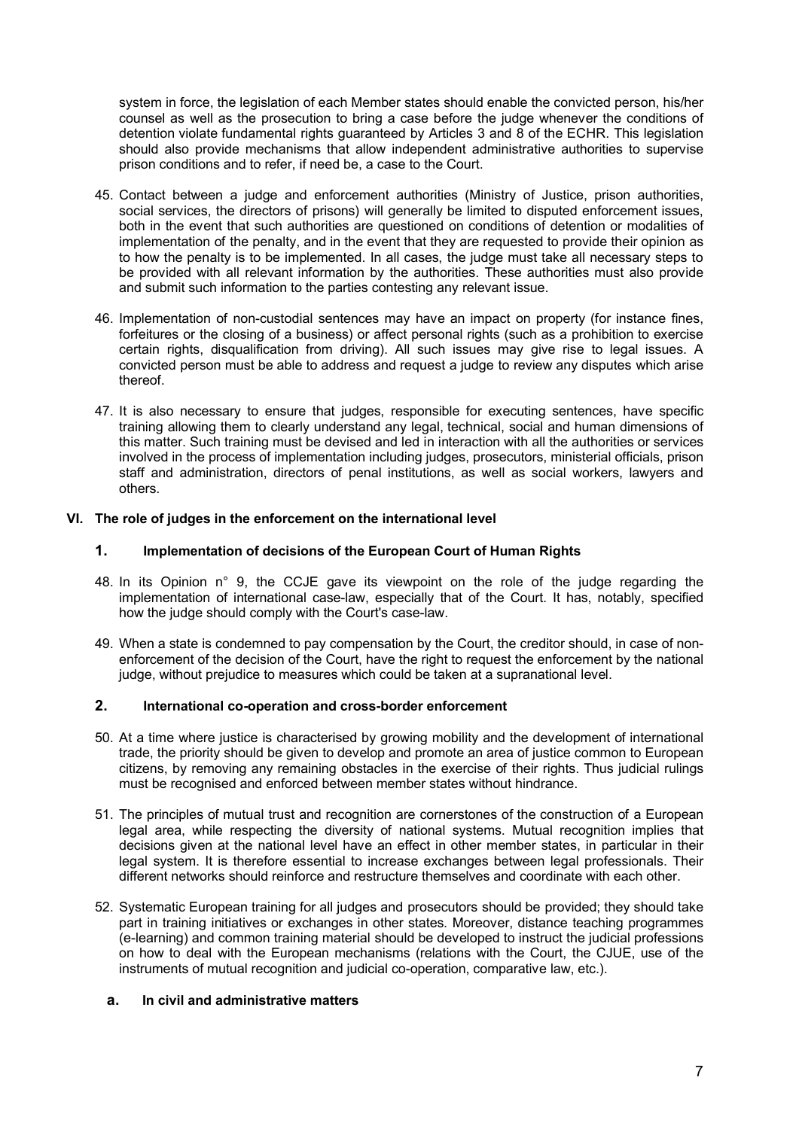system in force, the legislation of each Member states should enable the convicted person, his/her counsel as well as the prosecution to bring a case before the judge whenever the conditions of detention violate fundamental rights guaranteed by Articles 3 and 8 of the ECHR. This legislation should also provide mechanisms that allow independent administrative authorities to supervise prison conditions and to refer, if need be, a case to the Court.

- 45. Contact between a judge and enforcement authorities (Ministry of Justice, prison authorities, social services, the directors of prisons) will generally be limited to disputed enforcement issues, both in the event that such authorities are questioned on conditions of detention or modalities of implementation of the penalty, and in the event that they are requested to provide their opinion as to how the penalty is to be implemented. In all cases, the judge must take all necessary steps to be provided with all relevant information by the authorities. These authorities must also provide and submit such information to the parties contesting any relevant issue.
- 46. Implementation of non-custodial sentences may have an impact on property (for instance fines, forfeitures or the closing of a business) or affect personal rights (such as a prohibition to exercise certain rights, disqualification from driving). All such issues may give rise to legal issues. A convicted person must be able to address and request a judge to review any disputes which arise thereof.
- 47. It is also necessary to ensure that judges, responsible for executing sentences, have specific training allowing them to clearly understand any legal, technical, social and human dimensions of this matter. Such training must be devised and led in interaction with all the authorities or services involved in the process of implementation including judges, prosecutors, ministerial officials, prison staff and administration, directors of penal institutions, as well as social workers, lawyers and others.

## **VI. The role of judges in the enforcement on the international level**

## **1. Implementation of decisions of the European Court of Human Rights**

- 48. In its Opinion n° 9, the CCJE gave its viewpoint on the role of the judge regarding the implementation of international case-law, especially that of the Court. It has, notably, specified how the judge should comply with the Court's case-law.
- 49. When a state is condemned to pay compensation by the Court, the creditor should, in case of nonenforcement of the decision of the Court, have the right to request the enforcement by the national judge, without prejudice to measures which could be taken at a supranational level.

#### **2. International co-operation and cross-border enforcement**

- 50. At a time where justice is characterised by growing mobility and the development of international trade, the priority should be given to develop and promote an area of justice common to European citizens, by removing any remaining obstacles in the exercise of their rights. Thus judicial rulings must be recognised and enforced between member states without hindrance.
- 51. The principles of mutual trust and recognition are cornerstones of the construction of a European legal area, while respecting the diversity of national systems. Mutual recognition implies that decisions given at the national level have an effect in other member states, in particular in their legal system. It is therefore essential to increase exchanges between legal professionals. Their different networks should reinforce and restructure themselves and coordinate with each other.
- 52. Systematic European training for all judges and prosecutors should be provided; they should take part in training initiatives or exchanges in other states. Moreover, distance teaching programmes (e-learning) and common training material should be developed to instruct the judicial professions on how to deal with the European mechanisms (relations with the Court, the CJUE, use of the instruments of mutual recognition and judicial co-operation, comparative law, etc.).

#### **a. In civil and administrative matters**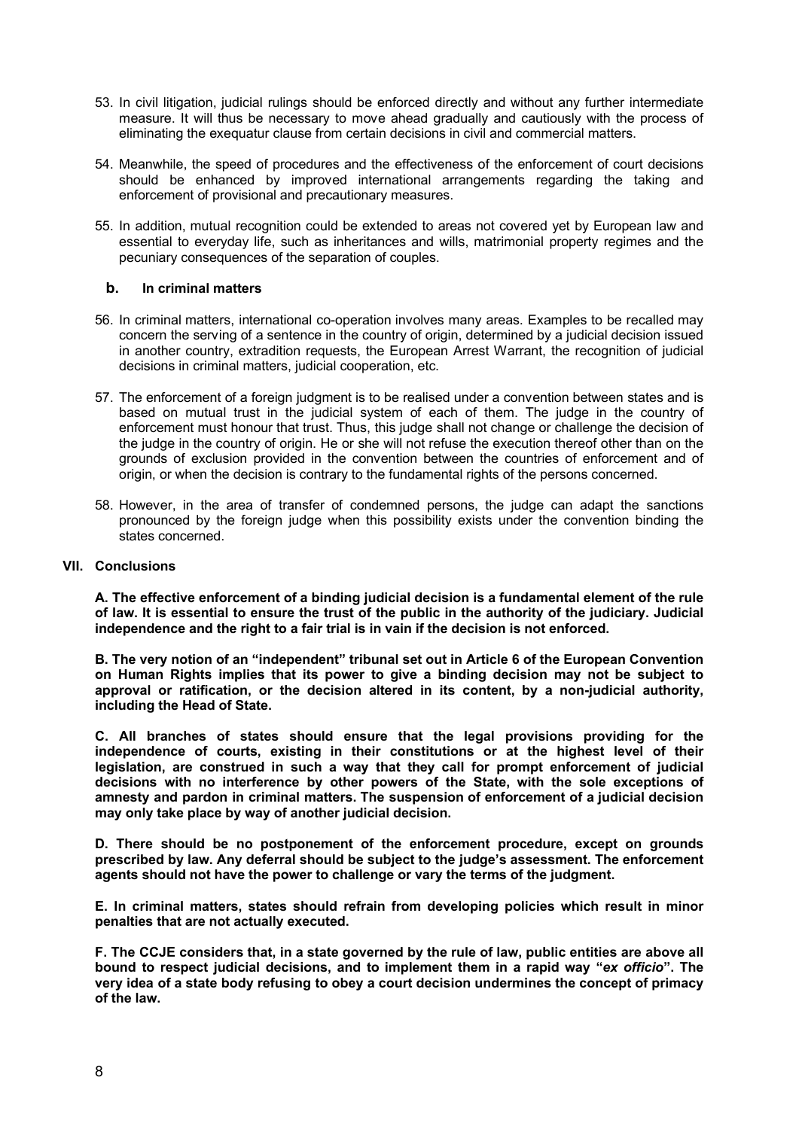- 53. In civil litigation, judicial rulings should be enforced directly and without any further intermediate measure. It will thus be necessary to move ahead gradually and cautiously with the process of eliminating the exequatur clause from certain decisions in civil and commercial matters.
- 54. Meanwhile, the speed of procedures and the effectiveness of the enforcement of court decisions should be enhanced by improved international arrangements regarding the taking and enforcement of provisional and precautionary measures.
- 55. In addition, mutual recognition could be extended to areas not covered yet by European law and essential to everyday life, such as inheritances and wills, matrimonial property regimes and the pecuniary consequences of the separation of couples.

## **b. In criminal matters**

- 56. In criminal matters, international co-operation involves many areas. Examples to be recalled may concern the serving of a sentence in the country of origin, determined by a judicial decision issued in another country, extradition requests, the European Arrest Warrant, the recognition of judicial decisions in criminal matters, judicial cooperation, etc.
- 57. The enforcement of a foreign judgment is to be realised under a convention between states and is based on mutual trust in the judicial system of each of them. The judge in the country of enforcement must honour that trust. Thus, this judge shall not change or challenge the decision of the judge in the country of origin. He or she will not refuse the execution thereof other than on the grounds of exclusion provided in the convention between the countries of enforcement and of origin, or when the decision is contrary to the fundamental rights of the persons concerned.
- 58. However, in the area of transfer of condemned persons, the judge can adapt the sanctions pronounced by the foreign judge when this possibility exists under the convention binding the states concerned.

### **VII. Conclusions**

**A. The effective enforcement of a binding judicial decision is a fundamental element of the rule of law. It is essential to ensure the trust of the public in the authority of the judiciary. Judicial independence and the right to a fair trial is in vain if the decision is not enforced.**

**B. The very notion of an "independent" tribunal set out in Article 6 of the European Convention on Human Rights implies that its power to give a binding decision may not be subject to approval or ratification, or the decision altered in its content, by a non-judicial authority, including the Head of State.** 

**C. All branches of states should ensure that the legal provisions providing for the independence of courts, existing in their constitutions or at the highest level of their legislation, are construed in such a way that they call for prompt enforcement of judicial decisions with no interference by other powers of the State, with the sole exceptions of amnesty and pardon in criminal matters. The suspension of enforcement of a judicial decision may only take place by way of another judicial decision.**

**D. There should be no postponement of the enforcement procedure, except on grounds prescribed by law. Any deferral should be subject to the judge's assessment. The enforcement agents should not have the power to challenge or vary the terms of the judgment.** 

**E. In criminal matters, states should refrain from developing policies which result in minor penalties that are not actually executed.**

**F. The CCJE considers that, in a state governed by the rule of law, public entities are above all bound to respect judicial decisions, and to implement them in a rapid way "***ex officio***". The very idea of a state body refusing to obey a court decision undermines the concept of primacy of the law.**